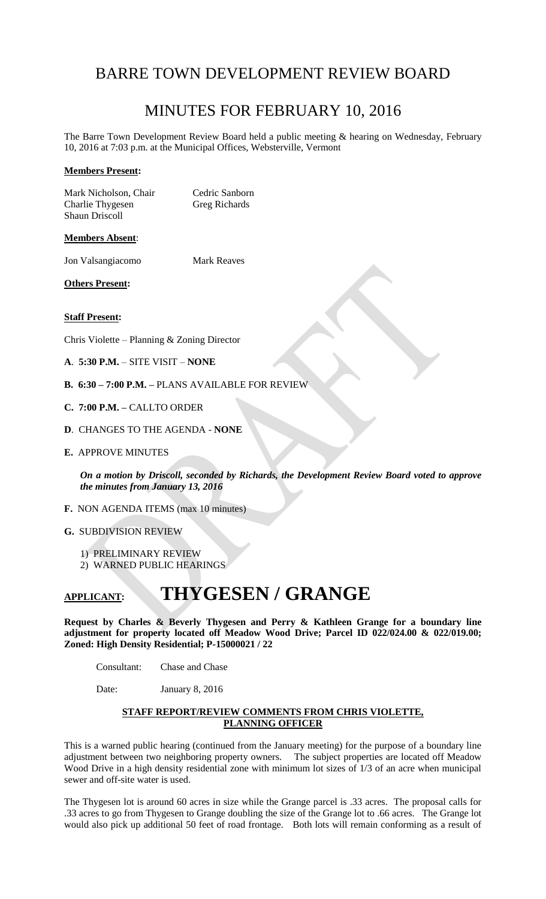# BARRE TOWN DEVELOPMENT REVIEW BOARD

# MINUTES FOR FEBRUARY 10, 2016

The Barre Town Development Review Board held a public meeting & hearing on Wednesday, February 10, 2016 at 7:03 p.m. at the Municipal Offices, Websterville, Vermont

# **Members Present:**

Mark Nicholson, Chair Cedric Sanborn<br>
Charlie Thygesen Greg Richards Charlie Thygesen Shaun Driscoll

#### **Members Absent**:

Jon Valsangiacomo Mark Reaves

**Others Present:**

#### **Staff Present:**

Chris Violette – Planning & Zoning Director

- **A**. **5:30 P.M.** SITE VISIT **NONE**
- **B. 6:30 – 7:00 P.M. –** PLANS AVAILABLE FOR REVIEW
- **C. 7:00 P.M. –** CALLTO ORDER
- **D**. CHANGES TO THE AGENDA **NONE**
- **E.** APPROVE MINUTES

*On a motion by Driscoll, seconded by Richards, the Development Review Board voted to approve the minutes from January 13, 2016*

- **F.** NON AGENDA ITEMS (max 10 minutes)
- **G.** SUBDIVISION REVIEW
	- 1) PRELIMINARY REVIEW
	- 2) WARNED PUBLIC HEARINGS

# **APPLICANT: THYGESEN / GRANGE**

**Request by Charles & Beverly Thygesen and Perry & Kathleen Grange for a boundary line adjustment for property located off Meadow Wood Drive; Parcel ID 022/024.00 & 022/019.00; Zoned: High Density Residential; P-15000021 / 22**

Consultant: Chase and Chase

Date: January 8, 2016

# **STAFF REPORT/REVIEW COMMENTS FROM CHRIS VIOLETTE, PLANNING OFFICER**

This is a warned public hearing (continued from the January meeting) for the purpose of a boundary line adjustment between two neighboring property owners. The subject properties are located off Meadow Wood Drive in a high density residential zone with minimum lot sizes of 1/3 of an acre when municipal sewer and off-site water is used.

The Thygesen lot is around 60 acres in size while the Grange parcel is .33 acres. The proposal calls for .33 acres to go from Thygesen to Grange doubling the size of the Grange lot to .66 acres. The Grange lot would also pick up additional 50 feet of road frontage. Both lots will remain conforming as a result of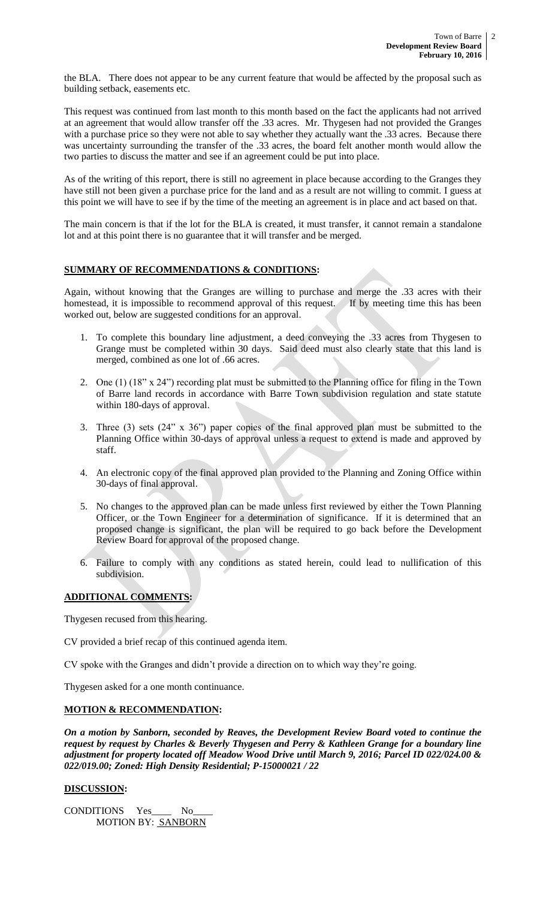the BLA. There does not appear to be any current feature that would be affected by the proposal such as building setback, easements etc.

This request was continued from last month to this month based on the fact the applicants had not arrived at an agreement that would allow transfer off the .33 acres. Mr. Thygesen had not provided the Granges with a purchase price so they were not able to say whether they actually want the .33 acres. Because there was uncertainty surrounding the transfer of the .33 acres, the board felt another month would allow the two parties to discuss the matter and see if an agreement could be put into place.

As of the writing of this report, there is still no agreement in place because according to the Granges they have still not been given a purchase price for the land and as a result are not willing to commit. I guess at this point we will have to see if by the time of the meeting an agreement is in place and act based on that.

The main concern is that if the lot for the BLA is created, it must transfer, it cannot remain a standalone lot and at this point there is no guarantee that it will transfer and be merged.

# **SUMMARY OF RECOMMENDATIONS & CONDITIONS:**

Again, without knowing that the Granges are willing to purchase and merge the .33 acres with their homestead, it is impossible to recommend approval of this request. If by meeting time this has been worked out, below are suggested conditions for an approval.

- 1. To complete this boundary line adjustment, a deed conveying the .33 acres from Thygesen to Grange must be completed within 30 days. Said deed must also clearly state that this land is merged, combined as one lot of .66 acres.
- 2. One (1) (18" x 24") recording plat must be submitted to the Planning office for filing in the Town of Barre land records in accordance with Barre Town subdivision regulation and state statute within 180-days of approval.
- 3. Three (3) sets (24" x 36") paper copies of the final approved plan must be submitted to the Planning Office within 30-days of approval unless a request to extend is made and approved by staff.
- 4. An electronic copy of the final approved plan provided to the Planning and Zoning Office within 30-days of final approval.
- 5. No changes to the approved plan can be made unless first reviewed by either the Town Planning Officer, or the Town Engineer for a determination of significance. If it is determined that an proposed change is significant, the plan will be required to go back before the Development Review Board for approval of the proposed change.
- 6. Failure to comply with any conditions as stated herein, could lead to nullification of this subdivision.

# **ADDITIONAL COMMENTS:**

Thygesen recused from this hearing.

CV provided a brief recap of this continued agenda item.

CV spoke with the Granges and didn't provide a direction on to which way they're going.

Thygesen asked for a one month continuance.

# **MOTION & RECOMMENDATION:**

*On a motion by Sanborn, seconded by Reaves, the Development Review Board voted to continue the request by request by Charles & Beverly Thygesen and Perry & Kathleen Grange for a boundary line adjustment for property located off Meadow Wood Drive until March 9, 2016; Parcel ID 022/024.00 & 022/019.00; Zoned: High Density Residential; P-15000021 / 22*

# **DISCUSSION:**

CONDITIONS Yes\_\_\_\_ No\_\_\_\_ MOTION BY: SANBORN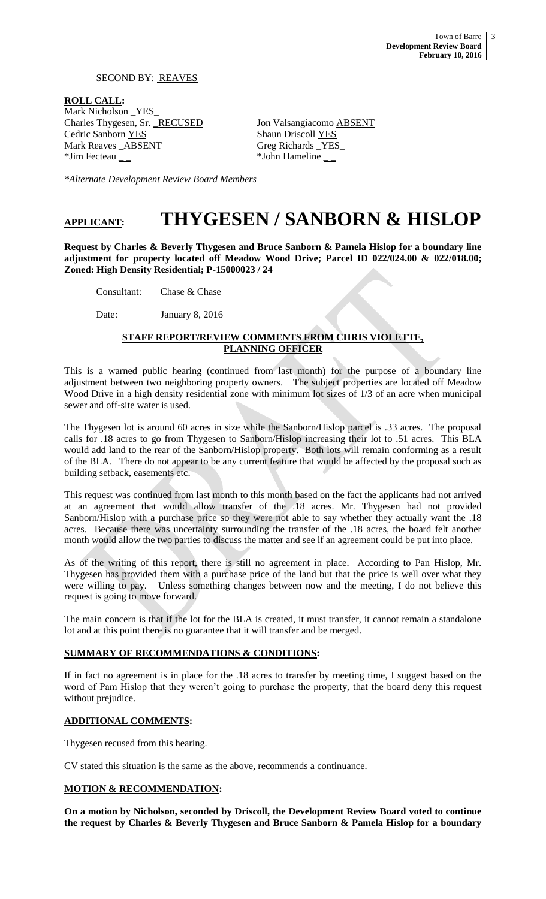# SECOND BY: REAVES

**ROLL CALL:** Mark Nicholson YES Charles Thygesen, Sr. RECUSED Jon Valsangiacomo ABSENT Cedric Sanborn YES Shaun Driscoll YES Mark Reaves **ABSENT**<br>
\*Jim Fecteau \_\_\_ the sector and the sector and the sector and the sector and the sector and the sector and the sector  $\frac{YES}{YD}$ 

\*John Hameline \_\_

*\*Alternate Development Review Board Members*

# **APPLICANT: THYGESEN / SANBORN & HISLOP**

**Request by Charles & Beverly Thygesen and Bruce Sanborn & Pamela Hislop for a boundary line adjustment for property located off Meadow Wood Drive; Parcel ID 022/024.00 & 022/018.00; Zoned: High Density Residential; P-15000023 / 24**

Consultant: Chase & Chase

Date: January 8, 2016

# **STAFF REPORT/REVIEW COMMENTS FROM CHRIS VIOLETTE, PLANNING OFFICER**

This is a warned public hearing (continued from last month) for the purpose of a boundary line adjustment between two neighboring property owners. The subject properties are located off Meadow Wood Drive in a high density residential zone with minimum lot sizes of 1/3 of an acre when municipal sewer and off-site water is used.

The Thygesen lot is around 60 acres in size while the Sanborn/Hislop parcel is .33 acres. The proposal calls for .18 acres to go from Thygesen to Sanborn/Hislop increasing their lot to .51 acres. This BLA would add land to the rear of the Sanborn/Hislop property. Both lots will remain conforming as a result of the BLA. There do not appear to be any current feature that would be affected by the proposal such as building setback, easements etc.

This request was continued from last month to this month based on the fact the applicants had not arrived at an agreement that would allow transfer of the .18 acres. Mr. Thygesen had not provided Sanborn/Hislop with a purchase price so they were not able to say whether they actually want the .18 acres. Because there was uncertainty surrounding the transfer of the .18 acres, the board felt another month would allow the two parties to discuss the matter and see if an agreement could be put into place.

As of the writing of this report, there is still no agreement in place. According to Pan Hislop, Mr. Thygesen has provided them with a purchase price of the land but that the price is well over what they were willing to pay. Unless something changes between now and the meeting, I do not believe this request is going to move forward.

The main concern is that if the lot for the BLA is created, it must transfer, it cannot remain a standalone lot and at this point there is no guarantee that it will transfer and be merged.

# **SUMMARY OF RECOMMENDATIONS & CONDITIONS:**

If in fact no agreement is in place for the .18 acres to transfer by meeting time, I suggest based on the word of Pam Hislop that they weren't going to purchase the property, that the board deny this request without prejudice.

# **ADDITIONAL COMMENTS:**

Thygesen recused from this hearing.

CV stated this situation is the same as the above, recommends a continuance.

# **MOTION & RECOMMENDATION:**

**On a motion by Nicholson, seconded by Driscoll, the Development Review Board voted to continue the request by Charles & Beverly Thygesen and Bruce Sanborn & Pamela Hislop for a boundary**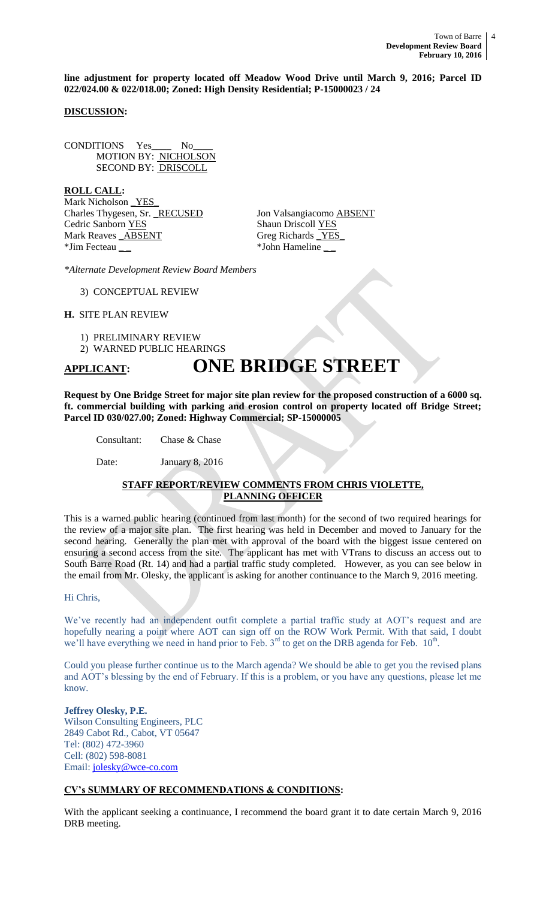**line adjustment for property located off Meadow Wood Drive until March 9, 2016; Parcel ID 022/024.00 & 022/018.00; Zoned: High Density Residential; P-15000023 / 24**

# **DISCUSSION:**

CONDITIONS Yes\_\_\_\_ No\_\_\_\_ MOTION BY: NICHOLSON SECOND BY: DRISCOLL

**ROLL CALL:** Mark Nicholson <u>YES</u> Charles Thygesen, Sr. RECUSED Jon Valsangiacomo ABSENT Cedric Sanborn YES Shaun Driscoll YES Mark Reaves **\_ABSENT** Greg Richards \_YES \*Jim Fecteau \_ \_ \*John Hameline \_ \_

*\*Alternate Development Review Board Members*

3) CONCEPTUAL REVIEW

# **H.** SITE PLAN REVIEW

1) PRELIMINARY REVIEW

2) WARNED PUBLIC HEARINGS

# **APPLICANT: ONE BRIDGE STREET**

**Request by One Bridge Street for major site plan review for the proposed construction of a 6000 sq. ft. commercial building with parking and erosion control on property located off Bridge Street; Parcel ID 030/027.00; Zoned: Highway Commercial; SP-15000005**

Consultant: Chase & Chase

Date: January 8, 2016

# **STAFF REPORT/REVIEW COMMENTS FROM CHRIS VIOLETTE, PLANNING OFFICER**

This is a warned public hearing (continued from last month) for the second of two required hearings for the review of a major site plan. The first hearing was held in December and moved to January for the second hearing. Generally the plan met with approval of the board with the biggest issue centered on ensuring a second access from the site. The applicant has met with VTrans to discuss an access out to South Barre Road (Rt. 14) and had a partial traffic study completed. However, as you can see below in the email from Mr. Olesky, the applicant is asking for another continuance to the March 9, 2016 meeting.

#### Hi Chris,

We've recently had an independent outfit complete a partial traffic study at AOT's request and are hopefully nearing a point where AOT can sign off on the ROW Work Permit. With that said, I doubt we'll have everything we need in hand prior to Feb.  $3<sup>rd</sup>$  to get on the DRB agenda for Feb.  $10<sup>th</sup>$ .

Could you please further continue us to the March agenda? We should be able to get you the revised plans and AOT's blessing by the end of February. If this is a problem, or you have any questions, please let me know.

**Jeffrey Olesky, P.E.** Wilson Consulting Engineers, PLC 2849 Cabot Rd., Cabot, VT 05647 Tel: (802) 472-3960 Cell: (802) 598-8081 Email: [jolesky@wce-co.com](mailto:jolesky@wce-co.com)

# **CV's SUMMARY OF RECOMMENDATIONS & CONDITIONS:**

With the applicant seeking a continuance, I recommend the board grant it to date certain March 9, 2016 DRB meeting.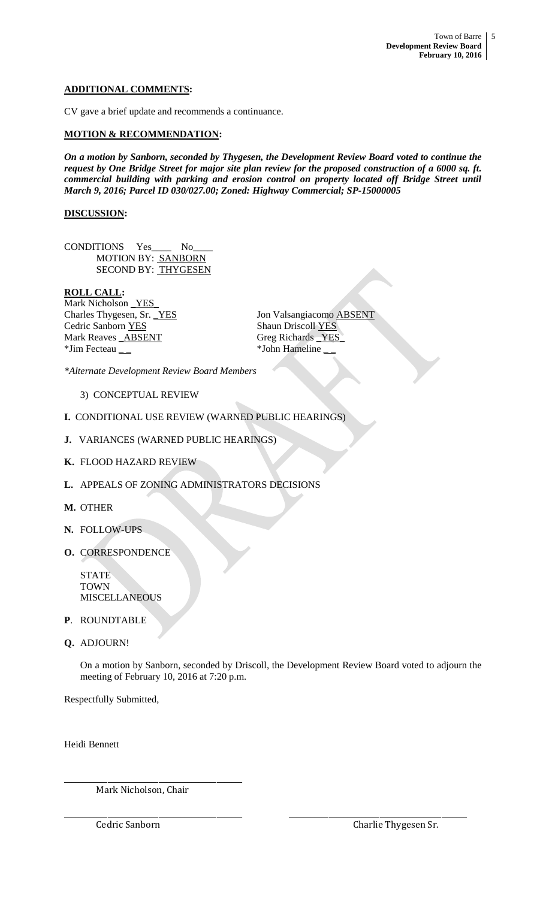# **ADDITIONAL COMMENTS:**

CV gave a brief update and recommends a continuance.

### **MOTION & RECOMMENDATION:**

*On a motion by Sanborn, seconded by Thygesen, the Development Review Board voted to continue the request by One Bridge Street for major site plan review for the proposed construction of a 6000 sq. ft. commercial building with parking and erosion control on property located off Bridge Street until March 9, 2016; Parcel ID 030/027.00; Zoned: Highway Commercial; SP-15000005*

### **DISCUSSION:**

CONDITIONS Yes\_\_\_\_ No\_\_\_\_ MOTION BY: SANBORN SECOND BY: THYGESEN

#### **ROLL CALL:**

Mark Nicholson \_YES\_ Cedric Sanborn YES Shaun Driscoll YES Mark Reaves **\_ABSENT** Greg Richards \_YES \*Jim Fecteau \_ \_ \*John Hameline \_ \_

Charles Thygesen, Sr. YES Jon Valsangiacomo **ABSENT** 

*\*Alternate Development Review Board Members*

# 3) CONCEPTUAL REVIEW

- **I.** CONDITIONAL USE REVIEW (WARNED PUBLIC HEARINGS)
- **J.** VARIANCES (WARNED PUBLIC HEARINGS)
- **K.** FLOOD HAZARD REVIEW
- **L.** APPEALS OF ZONING ADMINISTRATORS DECISIONS
- **M.** OTHER
- **N.** FOLLOW-UPS
- **O.** CORRESPONDENCE

STATE TOWN MISCELLANEOUS

- **P**. ROUNDTABLE
- **Q.** ADJOURN!

On a motion by Sanborn, seconded by Driscoll, the Development Review Board voted to adjourn the meeting of February 10, 2016 at 7:20 p.m.

\_\_\_\_\_\_\_\_\_\_\_\_\_\_\_\_\_\_\_\_\_\_\_\_\_\_\_\_\_\_\_\_\_\_\_\_\_\_\_\_\_\_\_\_\_\_\_\_\_ \_\_\_\_\_\_\_\_\_\_\_\_\_\_\_\_\_\_\_\_\_\_\_\_\_\_\_\_\_\_\_\_\_\_\_\_\_\_\_\_\_\_\_\_\_\_\_\_\_

Respectfully Submitted,

Heidi Bennett

Mark Nicholson, Chair

\_\_\_\_\_\_\_\_\_\_\_\_\_\_\_\_\_\_\_\_\_\_\_\_\_\_\_\_\_\_\_\_\_\_\_\_\_\_\_\_\_\_\_\_\_\_\_\_\_